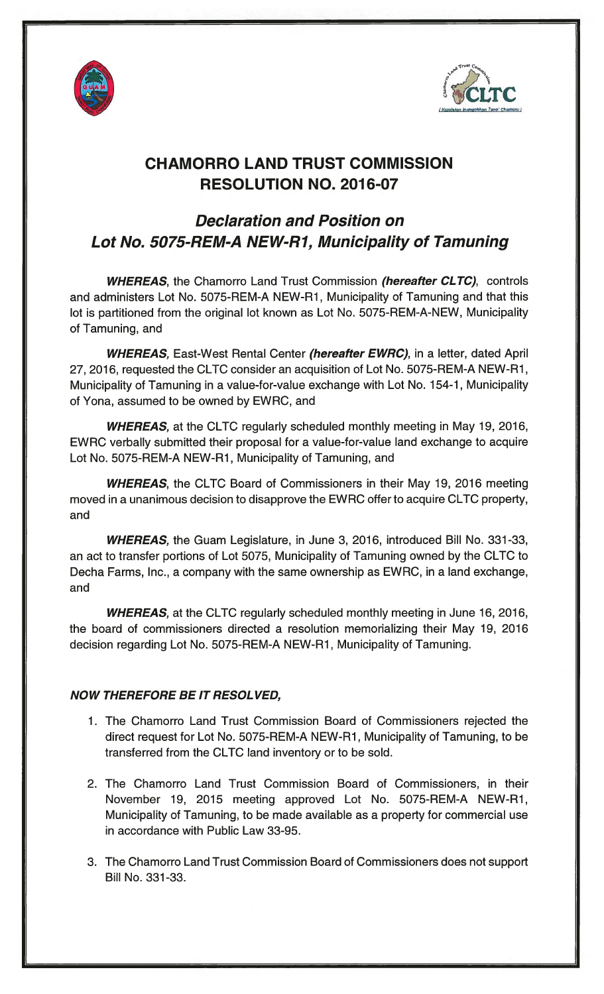



## CHAMORRO LAND TRUST COMMISSION RESOLUTION NO. 2016-07

## Declaration and Position on Lot No. 5075-REM-A NEW-Ri, Municipality of Tamuning

WHEREAS, the Chamorro Land Trust Commission (hereafter CLTC), controls and administers Lot No. 5075-REM-A NEW-Ri, Municipality of Tamuning and that this lot is partitioned from the original lot known as Lot No. 5075-REM-A-NEW, Municipality of Tamuning, and

WHEREAS, East-West Rental Center (hereafter EWRC), in a letter, dated April 27, 2016, requested the CLTC consider an acquisition of Lot No. 5075-REM-A NEW-Ri, Municipality of Tamuning in a value-for-value exchange with Lot No. 154-1, Municipality of Yona, assumed to be owned by EWRC, and

WHEREAS, at the CLTC regularly scheduled monthly meeting in May 19, 2016, EWRC verbally submitted their proposal for a value-for-value land exchange to acquire Lot No. 5075-REM-A NEW-Ri, Municipality of Tamuning, and

WHEREAS, the CLTC Board of Commissioners in their May 19, 2016 meeting moved in a unanimous decision to disapprove the EWRC offer to acquire CLTC property, and

WHEREAS, the Guam Legislature, in June 3, 2016, introduced Bill No. 331-33, an act to transfer portions of Lot 5075, Municipality of Tamuning owned by the CLTC to Decha Farms, Inc., a company with the same ownership as EWRC, in a land exchange, and

WHEREAS, at the CLTC regularly scheduled monthly meeting in June 16, 2016, the board of commissioners directed a resolution memorializing their May 19, 2016 decision regarding Lot No. 5075-REM-A NEW-Ri, Municipality of Tamuning.

## NOW THEREFORE BE IT RESOL VED,

- i. The Chamorro Land Trust Commission Board of Commissioners rejected the direct request for Lot No. 5075-REM-A NEW-Ri, Municipality of Tamuning, to be transferred from the CLTC land inventory or to be sold.
- 2. The Chamorro Land Trust Commission Board of Commissioners, in their November i9, 20i5 meeting approved Lot No. 5075-REM-A NEW-Ri, Municipality of Tamuning, to be made available as a property for commercial use in accordance with Public Law 33-95.
- 3. The Chamorro Land Trust Commission Board of Commissioners does not support Bill No. 331 -33.